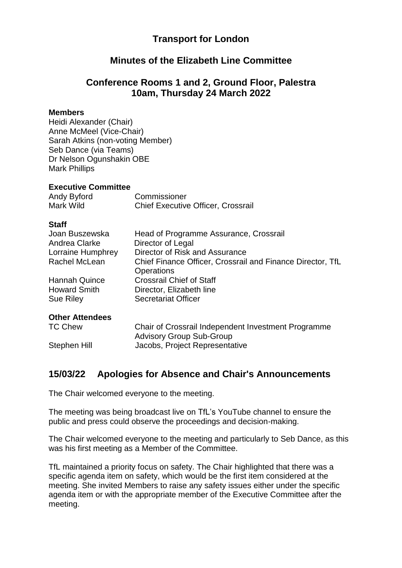## **Transport for London**

## **Minutes of the Elizabeth Line Committee**

# **Conference Rooms 1 and 2, Ground Floor, Palestra 10am, Thursday 24 March 2022**

### **Members**

Heidi Alexander (Chair) Anne McMeel (Vice-Chair) Sarah Atkins (non-voting Member) Seb Dance (via Teams) Dr Nelson Ogunshakin OBE Mark Phillips

### **Executive Committee**

| Andy Byford | Commissioner                              |
|-------------|-------------------------------------------|
| Mark Wild   | <b>Chief Executive Officer, Crossrail</b> |

## **Staff**

| Joan Buszewska         | Head of Programme Assurance, Crossrail                                                 |
|------------------------|----------------------------------------------------------------------------------------|
| Andrea Clarke          | Director of Legal                                                                      |
| Lorraine Humphrey      | Director of Risk and Assurance                                                         |
| Rachel McLean          | Chief Finance Officer, Crossrail and Finance Director, TfL<br><b>Operations</b>        |
| Hannah Quince          | <b>Crossrail Chief of Staff</b>                                                        |
| <b>Howard Smith</b>    | Director, Elizabeth line                                                               |
| Sue Riley              | <b>Secretariat Officer</b>                                                             |
| <b>Other Attendees</b> |                                                                                        |
| <b>TC Chew</b>         | Chair of Crossrail Independent Investment Programme<br><b>Advisory Group Sub-Group</b> |

Stephen Hill Jacobs, Project Representative

## **15/03/22 Apologies for Absence and Chair's Announcements**

The Chair welcomed everyone to the meeting.

The meeting was being broadcast live on TfL's YouTube channel to ensure the public and press could observe the proceedings and decision-making.

The Chair welcomed everyone to the meeting and particularly to Seb Dance, as this was his first meeting as a Member of the Committee.

TfL maintained a priority focus on safety. The Chair highlighted that there was a specific agenda item on safety, which would be the first item considered at the meeting. She invited Members to raise any safety issues either under the specific agenda item or with the appropriate member of the Executive Committee after the meeting.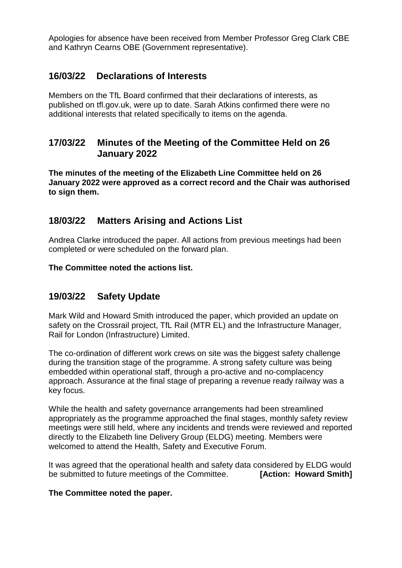Apologies for absence have been received from Member Professor Greg Clark CBE and Kathryn Cearns OBE (Government representative).

## **16/03/22 Declarations of Interests**

Members on the TfL Board confirmed that their declarations of interests, as published on tfl.gov.uk, were up to date. Sarah Atkins confirmed there were no additional interests that related specifically to items on the agenda.

## **17/03/22 Minutes of the Meeting of the Committee Held on 26 January 2022**

**The minutes of the meeting of the Elizabeth Line Committee held on 26 January 2022 were approved as a correct record and the Chair was authorised to sign them.**

# **18/03/22 Matters Arising and Actions List**

Andrea Clarke introduced the paper. All actions from previous meetings had been completed or were scheduled on the forward plan.

**The Committee noted the actions list.**

# **19/03/22 Safety Update**

Mark Wild and Howard Smith introduced the paper, which provided an update on safety on the Crossrail project, TfL Rail (MTR EL) and the Infrastructure Manager, Rail for London (Infrastructure) Limited.

The co-ordination of different work crews on site was the biggest safety challenge during the transition stage of the programme. A strong safety culture was being embedded within operational staff, through a pro-active and no-complacency approach. Assurance at the final stage of preparing a revenue ready railway was a key focus.

While the health and safety governance arrangements had been streamlined appropriately as the programme approached the final stages, monthly safety review meetings were still held, where any incidents and trends were reviewed and reported directly to the Elizabeth line Delivery Group (ELDG) meeting. Members were welcomed to attend the Health, Safety and Executive Forum.

It was agreed that the operational health and safety data considered by ELDG would be submitted to future meetings of the Committee. **[Action: Howard Smith]**

## **The Committee noted the paper.**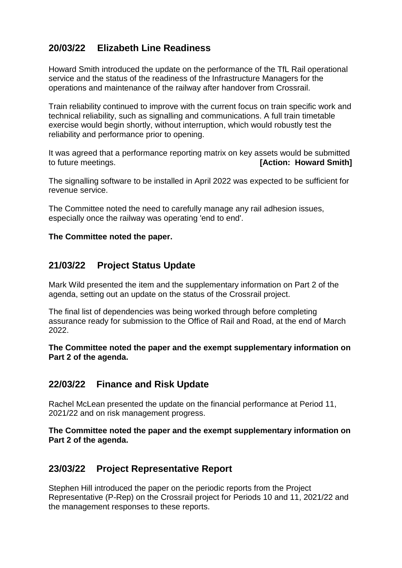# **20/03/22 Elizabeth Line Readiness**

Howard Smith introduced the update on the performance of the TfL Rail operational service and the status of the readiness of the Infrastructure Managers for the operations and maintenance of the railway after handover from Crossrail.

Train reliability continued to improve with the current focus on train specific work and technical reliability, such as signalling and communications. A full train timetable exercise would begin shortly, without interruption, which would robustly test the reliability and performance prior to opening.

It was agreed that a performance reporting matrix on key assets would be submitted to future meetings. **[Action: Howard Smith]**

The signalling software to be installed in April 2022 was expected to be sufficient for revenue service.

The Committee noted the need to carefully manage any rail adhesion issues, especially once the railway was operating 'end to end'.

## **The Committee noted the paper.**

# **21/03/22 Project Status Update**

Mark Wild presented the item and the supplementary information on Part 2 of the agenda, setting out an update on the status of the Crossrail project.

The final list of dependencies was being worked through before completing assurance ready for submission to the Office of Rail and Road, at the end of March 2022.

**The Committee noted the paper and the exempt supplementary information on Part 2 of the agenda.**

## **22/03/22 Finance and Risk Update**

Rachel McLean presented the update on the financial performance at Period 11, 2021/22 and on risk management progress.

**The Committee noted the paper and the exempt supplementary information on Part 2 of the agenda.**

## **23/03/22 Project Representative Report**

Stephen Hill introduced the paper on the periodic reports from the Project Representative (P-Rep) on the Crossrail project for Periods 10 and 11, 2021/22 and the management responses to these reports.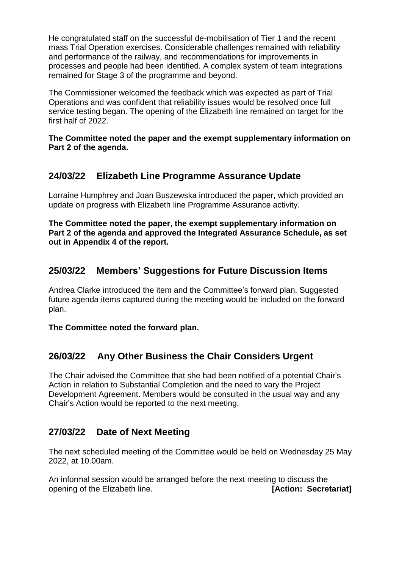He congratulated staff on the successful de-mobilisation of Tier 1 and the recent mass Trial Operation exercises. Considerable challenges remained with reliability and performance of the railway, and recommendations for improvements in processes and people had been identified. A complex system of team integrations remained for Stage 3 of the programme and beyond.

The Commissioner welcomed the feedback which was expected as part of Trial Operations and was confident that reliability issues would be resolved once full service testing began. The opening of the Elizabeth line remained on target for the first half of 2022.

**The Committee noted the paper and the exempt supplementary information on Part 2 of the agenda.**

# **24/03/22 Elizabeth Line Programme Assurance Update**

Lorraine Humphrey and Joan Buszewska introduced the paper, which provided an update on progress with Elizabeth line Programme Assurance activity.

**The Committee noted the paper, the exempt supplementary information on Part 2 of the agenda and approved the Integrated Assurance Schedule, as set out in Appendix 4 of the report.**

# **25/03/22 Members' Suggestions for Future Discussion Items**

Andrea Clarke introduced the item and the Committee's forward plan. Suggested future agenda items captured during the meeting would be included on the forward plan.

**The Committee noted the forward plan.**

## **26/03/22 Any Other Business the Chair Considers Urgent**

The Chair advised the Committee that she had been notified of a potential Chair's Action in relation to Substantial Completion and the need to vary the Project Development Agreement. Members would be consulted in the usual way and any Chair's Action would be reported to the next meeting.

## **27/03/22 Date of Next Meeting**

The next scheduled meeting of the Committee would be held on Wednesday 25 May 2022, at 10.00am.

An informal session would be arranged before the next meeting to discuss the opening of the Elizabeth line. **[Action: Secretariat]**